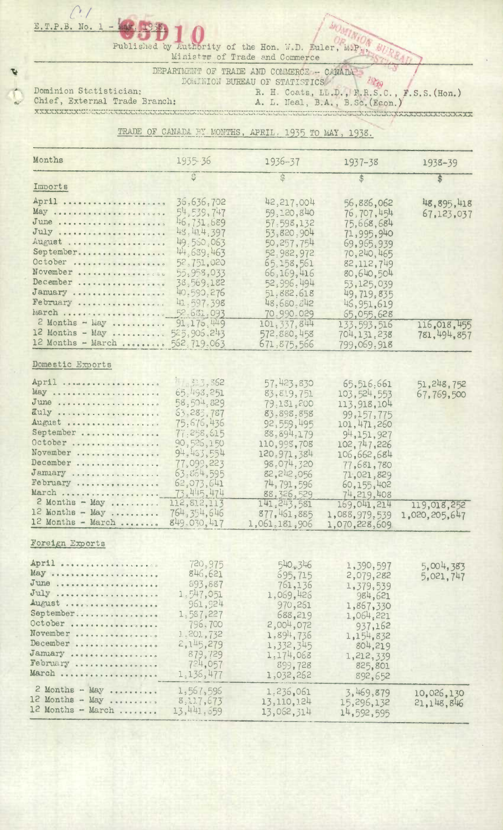E.T.P.B. No. 1 - 1938, 1938

 $\bigcirc$ 

## Published by Authority of the Hon. W.D. Euler, M.P.,

Ministre of Trade and Commerce

DEPARTMENT OF TRADE AND COMMERCE - CANADA

Dominion Statistician:

DOMINION BUREAU OF STATISTICS

Chief, External Trade Branch:

AND COMMERCE - CANADA<br>U OF STATISTICS<br>R. H. Coats, LL.D., F.R.S.C., F.S.S. (Hon.)<br>A. L. Neal, B.A., B.Sc. (Econ.) 

 $B_L$ 

TRADE OF CANADA BY MONTHS, APRIL, 1935 TO MAY, 1938.

| Months            | 1935 - 36                    | $1936 - 37$                | 1937-38                     | 1938-39                     |
|-------------------|------------------------------|----------------------------|-----------------------------|-----------------------------|
|                   | $\mathbb{G}$                 | Ś                          | $\ddot{s}$                  | \$                          |
| Imports           |                              |                            |                             |                             |
| April             | 36,636,702                   | 42, 217, 004               | 56,886,062                  | 48,895,418                  |
| May               | 54, 539, 747                 | 59,120,840                 | 76, 707, 454                | 67,123,037                  |
| June              | 46,731.689                   | 57.598,132                 | 75,668,684                  |                             |
| July              | 48.414.397                   | 53,820,904                 | 71,995,940                  |                             |
| August            | 49.560.063                   | 50, 257, 754               | 69,965,939                  |                             |
| September         | 44, 689, 463                 | 52.982.972                 | 70,240,465                  |                             |
| October           | 52,751,020                   | 65,158,561                 | 82, 112, 749                |                             |
| November          | 55,958,033                   | 66,169,416                 | 80,640,504                  |                             |
| December          | 38,569,182                   | 52,996,494                 | 53,125,039                  |                             |
| January           | 40.590.276                   | 51.882.618                 | 49, 719, 835                |                             |
| February          | 41.597.398                   | 48,680,642                 | 45,951,619                  |                             |
| March             | 52.631.093                   | 70,990.029                 | 65,055,628                  |                             |
| 2 Months - May    | 91, 175, 449                 | 101, 337, 844              | 133, 593, 516               | 116,018,455                 |
| 12 Months - May   | 525,906.243                  | 572.880,458                | 704, 131, 238               | 781, 494, 857               |
| 12 Months - March | 562, 719, 063                | 671, 875, 566              | 799,069.918                 |                             |
|                   |                              |                            |                             |                             |
| Domestic Exports  |                              |                            |                             |                             |
| April             | 313.862                      | 57.423,830                 |                             |                             |
| May               | 65.498,251                   |                            | 65,516,661                  | 51, 248, 752                |
| June              | 58,504,829                   | 83.819,751                 | 103, 524, 553               | 67,769,500                  |
| Huly              | 53,285,787                   | 79.131,200                 | 113, 918, 104               |                             |
| August            | 75.676,436                   | 83.898.858                 | 99,157,775                  |                             |
| September         |                              | 92, 559, 495               | 101, 471, 260               |                             |
| October           | 77:258,615                   | 88, 894, 179               | 94, 151, 927                |                             |
| November          | 90, 526, 150<br>94, 483, 554 | 110,998,708                | 102, 747, 226               |                             |
| December          | 77,099,223                   | 120, 971, 384              | 106,662,684                 |                             |
| Jamary            | 63,864,595                   | 98,074,320<br>82, 242, 056 | 77,681,780                  |                             |
| February          | 62,073,641                   | 74, 791, 596               | 71,021,829                  |                             |
| March             | 73, 445, 474                 | 88, 326, 529               | 60, 155, 402                |                             |
| $2$ Months - May  | 112, 812, 113                | 141, 243, 581              | 74, 219, 408<br>169,041,214 |                             |
| $12$ Months - May | 764, 354, 646                | 877, 461, 885              |                             | 119,018,252                 |
| 12 Months - March | 849.030,417                  | 1,061,181,906              | 1,070,228,609               | 1,088,979,539 1,020,205,647 |
|                   |                              |                            |                             |                             |
| Foreign Exports   |                              |                            |                             |                             |
| April             | 720,975                      | 540.346                    | 1,390,597                   |                             |
| May               | 846,621                      | 595,715                    |                             | 5,004,383                   |
| June              | 893,887                      | 761,136                    | 2,079,282                   | 5,021.747                   |
| July              | 1, 547, 051                  | 1,069,426                  | 1,379,539                   |                             |
| August            | 961,924                      | 970,261                    | 984,621                     |                             |
| September         | 1,587,227                    | 688,219                    | 1,867,330                   |                             |
| October           | 796,700                      | 2,004,072                  | 1,064,221                   |                             |
| November          | 1,201,732                    | 1,894,736                  | 937,162                     |                             |
| December          | 2,145,279                    | 1,332,345                  | 1,154,832<br>804,219        |                             |
| Jamuary           | 879,729                      | 1,174,068                  |                             |                             |
| February          | 724,057                      | 899,728                    | 1,212,339                   |                             |
| March             | 1,136,477                    | 1,032,262                  | 825,801                     |                             |
|                   |                              |                            | 892,652                     |                             |
| 2 Months - May    | 1,567,596                    | 1,236,061                  | 3,469,879                   | 10,026,130                  |
| 12 Months - May   | 8,117,673                    | 13, 110, 124               | 15,296,132                  | 21,148,846                  |
| 12 Months - March | 13, 441, 559                 | 13,062,314                 | 14,592,595                  |                             |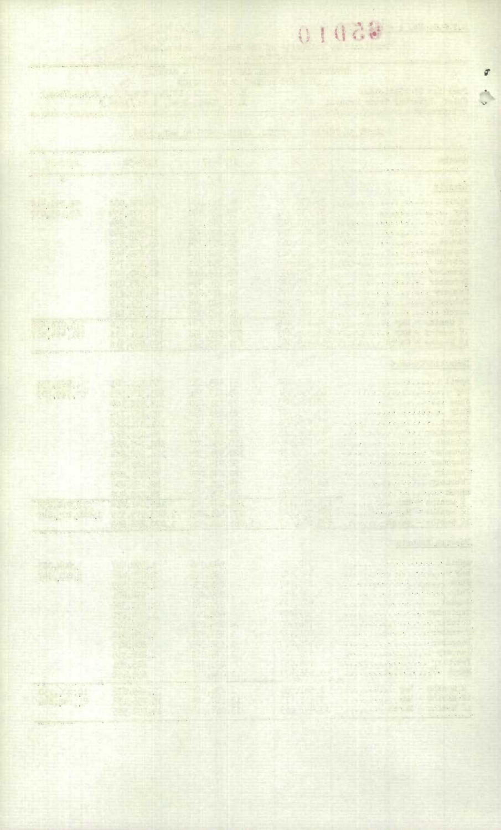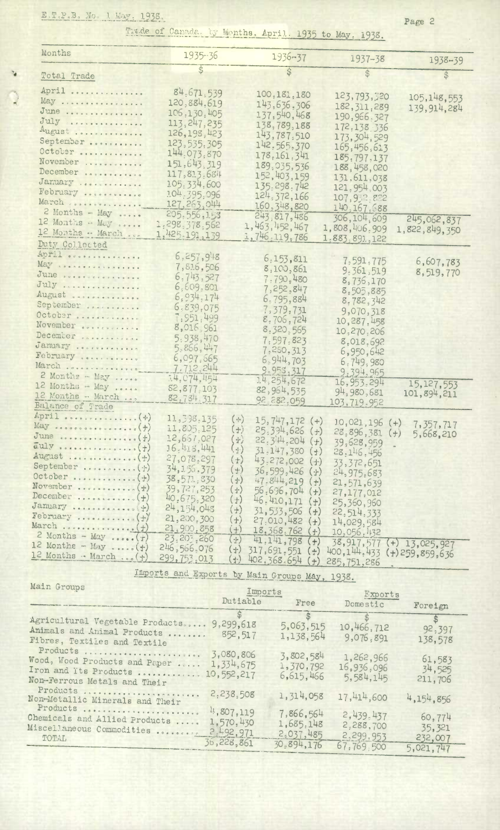## E.T.P.B. No. 1 May. 1938.

¥

Trade of Canada, by Months, April. 1935 to May, 1938.

Page 2

| Months                                 |                          |                              |                           |                                |       |                     |
|----------------------------------------|--------------------------|------------------------------|---------------------------|--------------------------------|-------|---------------------|
|                                        | 1935 - 36                |                              | $1936 - 37$               | 1937-38                        |       | 1938-39             |
| Total Trade                            | \$                       |                              | $\hat{S}$                 | \$                             |       | \$                  |
| April                                  | 84, 671, 539             |                              | 100, 181, 180             |                                |       |                     |
| May                                    | 120,884,619              |                              | 143,636,306               | 123,793,520                    |       | 105, 148, 553       |
| June                                   | 106,130,405              |                              | 137,540,468               | 182, 311.289                   |       | 139, 914, 284       |
| July                                   | 113, 247, 235            |                              | 138,789,188               | 190,966,327                    |       |                     |
| August                                 | 126, 198, 423            |                              | 143,787.510               | 172, 138, 336<br>173, 304, 529 |       |                     |
| September                              | 123, 535, 305            |                              | 142.565.370               | 165, 456, 613                  |       |                     |
| October                                | 144.073.870              |                              | 178, 161, 341             |                                |       |                     |
| November                               | 151,643.319              |                              | 189, 035, 536             | 185.797.137<br>188, 458, 020   |       |                     |
| December                               | 117,813.684              |                              | 152,403,159               | 131, 611, 038                  |       |                     |
| January                                | 105.334.600              |                              | 135.298.742               | 121, 954, 003                  |       |                     |
| February                               | 104, 395, 096            |                              | 124, 372, 166             | 107, 932. 832                  |       |                     |
| March                                  | 127, 263, 044            |                              | 160,348,820               | 140, 167, 688                  |       |                     |
| 2 Months - May                         | 205, 556, 153            |                              | 243.817,486               | 306, 104, 609                  |       |                     |
| 12 Months - May                        | 1, 298, 378, 562         |                              | 1, 463, 452, 467          | 1,808,406.909                  |       | 245,062,837         |
| 12 Months - March                      | 1, 425.191, 139          |                              | 1,746.119,786             | 1.883, 891, 122                |       | 1,822,849,350       |
| Duty Collected                         |                          |                              |                           |                                |       |                     |
| April economication.                   | 6, 257, 9.48             |                              | 6,153,811                 | 7,591,775                      |       |                     |
| May concerted the May                  | 7,816,506                |                              | 8,100,861                 | 9.361,519                      |       | 6,607,783           |
| June successions                       | 6,743,527                |                              | 7.790.480                 | 8,736,170                      |       | 8,519,770           |
| July                                   | 6,609,801                |                              | 7,252,847                 | 8,505,885                      |       |                     |
| August                                 | 6,934,174                |                              | 6.795,884                 | 8,782,342                      |       |                     |
| September                              | 6,839,075                |                              | 7, 379, 731               | 9,070,318                      |       |                     |
| October                                | ,951,499                 |                              | 8,706,724                 | 10, 287, 458                   |       |                     |
| November                               | 8,016.961                |                              | 8.320.565                 | 10,270.206                     |       |                     |
| December                               | 5.938,470                |                              | 7,597,823                 | 8,018.692                      |       |                     |
| January                                | 5,866,447                |                              | 7.250.313                 | 6,950,642                      |       |                     |
| February                               | 6,097,665                |                              | 6.944.703                 | 6,749,980                      |       |                     |
| March                                  | 7.712,244                |                              | 9,953,317                 | 9,394,965                      |       |                     |
| 2 Months - May                         | 14,074,454               |                              | 14, 254, 672              | 16, 953, 294                   |       | 15, 127, 553        |
| 12 Months - May                        | 82,877.103               |                              | 82, 964, 535              | 94,980,681                     |       | 101, 894, 211       |
| 12 Months - March                      | 82,734,317               |                              | 92.282.059                | 103, 719.952                   |       |                     |
| Balance of Trade                       |                          |                              |                           |                                |       |                     |
| April (†)                              | 11, 338.135              | $(\cdot, \cdot)$             | 15, 747, 172<br>$(+)$     | 10,021,196                     | $(+)$ | 7,357,717           |
| $May \sim 0000000000000000000(1)$      | 11,805.125               | $(\ddagger)$                 | 25, 394, 626<br>$(+)$     | $28,896,381$ (+)               |       | 5,668,210           |
| June $\ldots$ (†)                      | 12,657,027               | $\left( \frac{1}{2} \right)$ | 22.344.204<br>$(+)$       | 39,628,959                     |       |                     |
| $\text{Euly}$ soccessors conserved (†) | 16.413.441               | $\left(\cdot\right)$         | 31.147.380<br>$(\pm)$     | 28.146,456                     |       |                     |
| August (+)                             | 27,078,297               | (t)                          | 43.272,002<br>$(+)$       | 33, 372, 651                   |       |                     |
| September  (j)                         | 34, 156, 379             | $(+)$                        | 36, 599, 426<br>$(\cdot)$ | 24, 975, 683                   |       |                     |
| November (+)                           | 38,571,830               | $(\pm)$                      | 47.844,219<br>$(+)$       | 21,571,639                     |       |                     |
| December $(+)$                         | 39, 727, 253             | $\left( \frac{1}{2} \right)$ | 56,696,704<br>$(+)$       | 27,177,012                     |       |                     |
|                                        | 40.675.320               | $(+)$                        | 46, 410, 171<br>$\pm)$    | 25,360,960                     |       |                     |
|                                        | 24,154,043               | $(+)$                        | 31, 533, 506<br>$(+)$     | 22, 514, 333                   |       |                     |
| March $(+)$                            | 21,200.300<br>21,900,858 | $(+)$                        | 27.010,482<br>$(+)$       | 14,029,584                     |       |                     |
| 2 Months - May $(f)$                   | 23, 203, 260             | $(\pm)$                      | 18, 368. 762<br>$(+)$     | 10,056,132                     |       |                     |
| 12 Months - May $(\pm)$                | 246,566,076              | $(\div)$                     | 41, 141, 798<br>$(+)$     | 38, 917, 577                   |       | $(+)$ 13,025,927    |
| 12 Months - March  (+)                 | 299, 753, 013            | $(+)$                        | 317,691,551<br>$(\pm)$    | 400, 144, 433                  |       | $(+)$ 259, 859, 636 |
|                                        |                          | (4)                          | 402.368.654<br>$(+)$      | 285, 751, 286                  |       |                     |

Inports and Exports by Main Groups May, 1938.

| Main Groups                                                                                        | Imports                                           |                                                   | Exports                                           |                                          |  |  |
|----------------------------------------------------------------------------------------------------|---------------------------------------------------|---------------------------------------------------|---------------------------------------------------|------------------------------------------|--|--|
|                                                                                                    | Dutiable                                          | Free                                              | Domestic                                          | Foreign                                  |  |  |
| Agricultural Vegetable Products<br>Animals and Animal Products<br>Fibres, Textiles and Textile     | 9,299,618<br>852, 517                             | $\mathbb{S}$<br>5,063,515<br>1,138,564            | SS.<br>10,466,712<br>9,076,891                    | \$<br>92,397<br>138,578                  |  |  |
| Products<br>Wood, Wood Products and Paper<br>Iron and Its Products<br>Non-Ferrous Metals and Their | 3,080,806<br>1,334,675<br>10,552,217              | 3,802,584<br>1,370,792<br>6, 615, 466             | 1,262,966<br>16,936,096<br>5,584.145              | 61,583<br>34,525<br>211,706              |  |  |
| Products<br>Non-Metallic Minerals and Their                                                        | 2.238,508                                         | 1, 314, 058                                       | 17, 414, 600                                      | 4,154,856                                |  |  |
| Products<br>Chemicals and Allied Products<br>Miscellaneous Commodities<br>TOTAL                    | 4,807.119<br>1,570,430<br>2,492,971<br>36,228,861 | 7,866,564<br>1,685.148<br>2,037,485<br>30.894,176 | 2,439,437<br>2,288,700<br>2,299,953<br>67,769,500 | 60.774<br>35,321<br>232,007<br>5,021,747 |  |  |